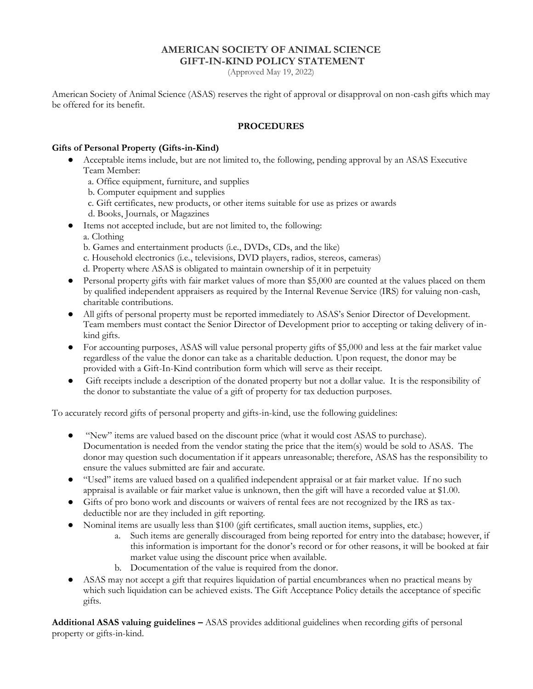# **AMERICAN SOCIETY OF ANIMAL SCIENCE GIFT-IN-KIND POLICY STATEMENT**

(Approved May 19, 2022)

American Society of Animal Science (ASAS) reserves the right of approval or disapproval on non-cash gifts which may be offered for its benefit.

### **PROCEDURES**

### **Gifts of Personal Property (Gifts-in-Kind)**

- Acceptable items include, but are not limited to, the following, pending approval by an ASAS Executive Team Member:
	- a. Office equipment, furniture, and supplies
	- b. Computer equipment and supplies
	- c. Gift certificates, new products, or other items suitable for use as prizes or awards
	- d. Books, Journals, or Magazines
- Items not accepted include, but are not limited to, the following:
	- a. Clothing
	- b. Games and entertainment products (i.e., DVDs, CDs, and the like)
	- c. Household electronics (i.e., televisions, DVD players, radios, stereos, cameras)
	- d. Property where ASAS is obligated to maintain ownership of it in perpetuity
- Personal property gifts with fair market values of more than \$5,000 are counted at the values placed on them by qualified independent appraisers as required by the Internal Revenue Service (IRS) for valuing non-cash, charitable contributions.
- All gifts of personal property must be reported immediately to ASAS's Senior Director of Development. Team members must contact the Senior Director of Development prior to accepting or taking delivery of inkind gifts.
- For accounting purposes, ASAS will value personal property gifts of \$5,000 and less at the fair market value regardless of the value the donor can take as a charitable deduction. Upon request, the donor may be provided with a Gift-In-Kind contribution form which will serve as their receipt.
- Gift receipts include a description of the donated property but not a dollar value. It is the responsibility of the donor to substantiate the value of a gift of property for tax deduction purposes.

To accurately record gifts of personal property and gifts-in-kind, use the following guidelines:

- "New" items are valued based on the discount price (what it would cost ASAS to purchase). Documentation is needed from the vendor stating the price that the item(s) would be sold to ASAS. The donor may question such documentation if it appears unreasonable; therefore, ASAS has the responsibility to ensure the values submitted are fair and accurate.
- "Used" items are valued based on a qualified independent appraisal or at fair market value. If no such appraisal is available or fair market value is unknown, then the gift will have a recorded value at \$1.00.
- Gifts of pro bono work and discounts or waivers of rental fees are not recognized by the IRS as taxdeductible nor are they included in gift reporting.
- Nominal items are usually less than \$100 (gift certificates, small auction items, supplies, etc.)
	- a. Such items are generally discouraged from being reported for entry into the database; however, if this information is important for the donor's record or for other reasons, it will be booked at fair market value using the discount price when available.
	- b. Documentation of the value is required from the donor.
- ASAS may not accept a gift that requires liquidation of partial encumbrances when no practical means by which such liquidation can be achieved exists. The Gift Acceptance Policy details the acceptance of specific gifts.

**Additional ASAS valuing guidelines –** ASAS provides additional guidelines when recording gifts of personal property or gifts-in-kind.